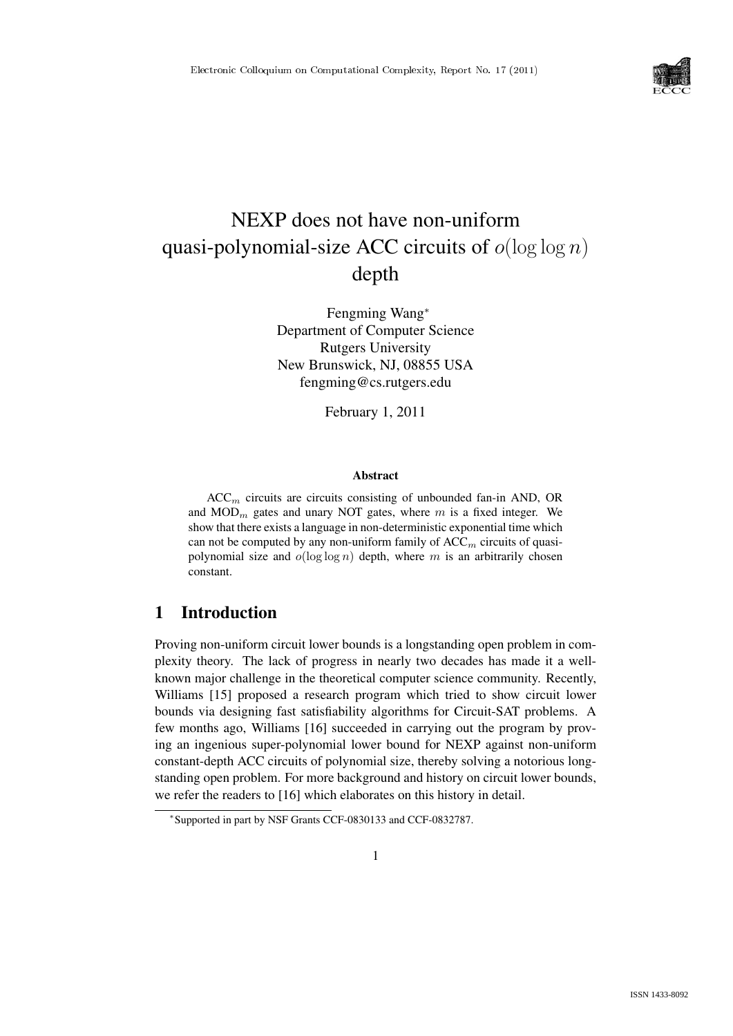

# NEXP does not have non-uniform quasi-polynomial-size ACC circuits of  $o(\log \log n)$ depth

Fengming Wang<sup>∗</sup> Department of Computer Science Rutgers University New Brunswick, NJ, 08855 USA fengming@cs.rutgers.edu

February 1, 2011

#### Abstract

 $ACC<sub>m</sub>$  circuits are circuits consisting of unbounded fan-in AND, OR and  $MOD_m$  gates and unary NOT gates, where m is a fixed integer. We show that there exists a language in non-deterministic exponential time which can not be computed by any non-uniform family of  $ACC_m$  circuits of quasipolynomial size and  $o(\log \log n)$  depth, where m is an arbitrarily chosen constant.

# 1 Introduction

Proving non-uniform circuit lower bounds is a longstanding open problem in complexity theory. The lack of progress in nearly two decades has made it a wellknown major challenge in the theoretical computer science community. Recently, Williams [15] proposed a research program which tried to show circuit lower bounds via designing fast satisfiability algorithms for Circuit-SAT problems. A few months ago, Williams [16] succeeded in carrying out the program by proving an ingenious super-polynomial lower bound for NEXP against non-uniform constant-depth ACC circuits of polynomial size, thereby solving a notorious longstanding open problem. For more background and history on circuit lower bounds, we refer the readers to [16] which elaborates on this history in detail.

<sup>∗</sup> Supported in part by NSF Grants CCF-0830133 and CCF-0832787.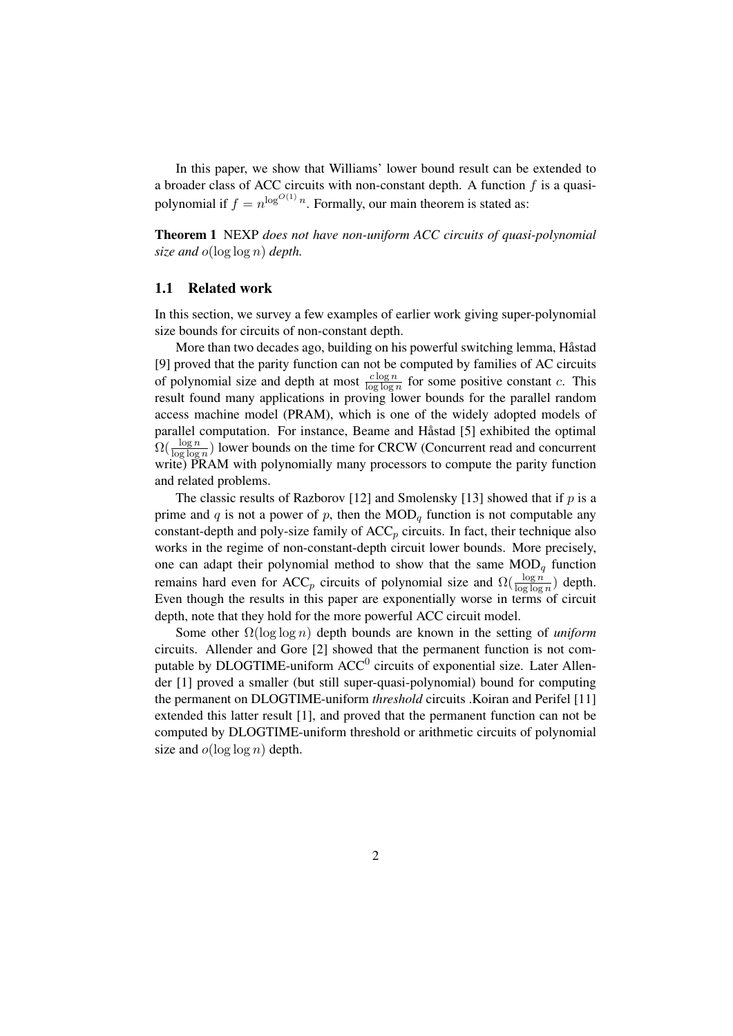In this paper, we show that Williams' lower bound result can be extended to a broader class of ACC circuits with non-constant depth. A function  $f$  is a quasipolynomial if  $f = n^{\log^{O(1)} n}$ . Formally, our main theorem is stated as:

Theorem 1 NEXP *does not have non-uniform ACC circuits of quasi-polynomial size and* o(log log n) *depth.*

### 1.1 Related work

In this section, we survey a few examples of earlier work giving super-polynomial size bounds for circuits of non-constant depth.

More than two decades ago, building on his powerful switching lemma, Håstad [9] proved that the parity function can not be computed by families of AC circuits of polynomial size and depth at most  $\frac{c \log n}{\log \log n}$  for some positive constant c. This result found many applications in proving lower bounds for the parallel random access machine model (PRAM), which is one of the widely adopted models of parallel computation. For instance, Beame and Håstad [5] exhibited the optimal  $\Omega(\frac{\log n}{\log \log n})$  lower bounds on the time for CRCW (Concurrent read and concurrent write) PRAM with polynomially many processors to compute the parity function and related problems.

The classic results of Razborov [12] and Smolensky [13] showed that if  $p$  is a prime and q is not a power of p, then the  $\text{MOD}_q$  function is not computable any constant-depth and poly-size family of  $ACC_p$  circuits. In fact, their technique also works in the regime of non-constant-depth circuit lower bounds. More precisely, one can adapt their polynomial method to show that the same  $\text{MOD}_q$  function remains hard even for ACC<sub>p</sub> circuits of polynomial size and  $\Omega(\frac{\log n}{\log \log n})$  depth. Even though the results in this paper are exponentially worse in terms of circuit depth, note that they hold for the more powerful ACC circuit model.

Some other Ω(log log n) depth bounds are known in the setting of *uniform* circuits. Allender and Gore [2] showed that the permanent function is not computable by DLOGTIME-uniform  $ACC^{0}$  circuits of exponential size. Later Allender [1] proved a smaller (but still super-quasi-polynomial) bound for computing the permanent on DLOGTIME-uniform *threshold* circuits .Koiran and Perifel [11] extended this latter result [1], and proved that the permanent function can not be computed by DLOGTIME-uniform threshold or arithmetic circuits of polynomial size and  $o(\log \log n)$  depth.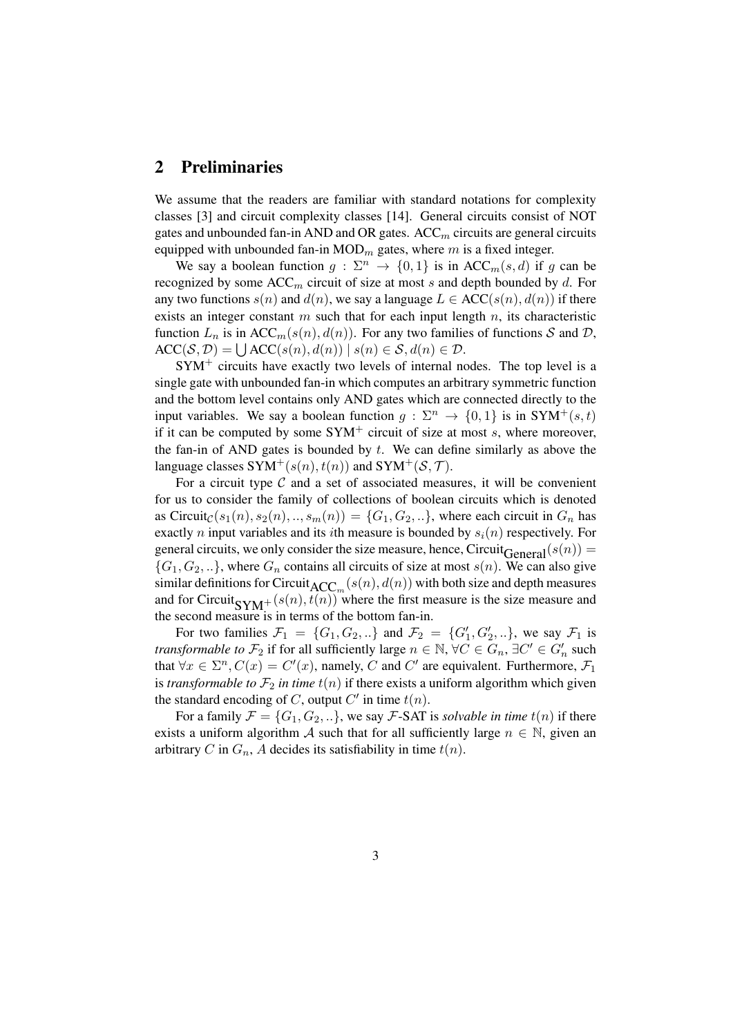# 2 Preliminaries

We assume that the readers are familiar with standard notations for complexity classes [3] and circuit complexity classes [14]. General circuits consist of NOT gates and unbounded fan-in AND and OR gates.  $ACC<sub>m</sub>$  circuits are general circuits equipped with unbounded fan-in  $MOD_m$  gates, where m is a fixed integer.

We say a boolean function  $g : \Sigma^n \to \{0,1\}$  is in ACC<sub>m</sub>(s, d) if g can be recognized by some  $ACC_m$  circuit of size at most s and depth bounded by d. For any two functions  $s(n)$  and  $d(n)$ , we say a language  $L \in ACC(s(n), d(n))$  if there exists an integer constant  $m$  such that for each input length  $n$ , its characteristic function  $L_n$  is in ACC<sub>m</sub>(s(n), d(n)). For any two families of functions S and D,  $\mathrm{ACC}(\mathcal{S}, \mathcal{D}) = \bigcup \mathrm{ACC}(s(n), d(n)) \mid s(n) \in \mathcal{S}, d(n) \in \mathcal{D}.$ 

 $SYM^+$  circuits have exactly two levels of internal nodes. The top level is a single gate with unbounded fan-in which computes an arbitrary symmetric function and the bottom level contains only AND gates which are connected directly to the input variables. We say a boolean function  $q : \Sigma^n \to \{0,1\}$  is in SYM<sup>+</sup>(s, t) if it can be computed by some  $SYM^+$  circuit of size at most s, where moreover, the fan-in of AND gates is bounded by  $t$ . We can define similarly as above the language classes  $SYM^+(s(n), t(n))$  and  $SYM^+(S, \mathcal{T})$ .

For a circuit type  $\mathcal C$  and a set of associated measures, it will be convenient for us to consider the family of collections of boolean circuits which is denoted as Circuit<sub>C</sub>(s<sub>1</sub>(n), s<sub>2</sub>(n), .., s<sub>m</sub>(n)) = {G<sub>1</sub>, G<sub>2</sub>, ..}, where each circuit in G<sub>n</sub> has exactly *n* input variables and its *i*th measure is bounded by  $s_i(n)$  respectively. For general circuits, we only consider the size measure, hence, Circuit<sub>General</sub>( $s(n)$ ) =  ${G_1, G_2, ...}$ , where  $G_n$  contains all circuits of size at most  $s(n)$ . We can also give similar definitions for Circuit<sub>ACC</sub><sub>m</sub>  $(s(n), d(n))$  with both size and depth measures and for Circuit<sub>SYM</sub>+(s(n), t(n)) where the first measure is the size measure and the second measure is in terms of the bottom fan-in.

For two families  $\mathcal{F}_1 = \{G_1, G_2, ...\}$  and  $\mathcal{F}_2 = \{G'_1, G'_2, ...\}$ , we say  $\mathcal{F}_1$  is *transformable to*  $\mathcal{F}_2$  if for all sufficiently large  $n \in \mathbb{N}$ ,  $\forall C \in G_n$ ,  $\exists C' \in G'_n$  such that  $\forall x \in \Sigma^n$ ,  $C(x) = C'(x)$ , namely, C and C' are equivalent. Furthermore,  $\mathcal{F}_1$ is *transformable to*  $\mathcal{F}_2$  *in time*  $t(n)$  if there exists a uniform algorithm which given the standard encoding of C, output  $C'$  in time  $t(n)$ .

For a family  $\mathcal{F} = \{G_1, G_2, ...\}$ , we say *F*-SAT is *solvable in time*  $t(n)$  if there exists a uniform algorithm A such that for all sufficiently large  $n \in \mathbb{N}$ , given an arbitrary C in  $G_n$ , A decides its satisfiability in time  $t(n)$ .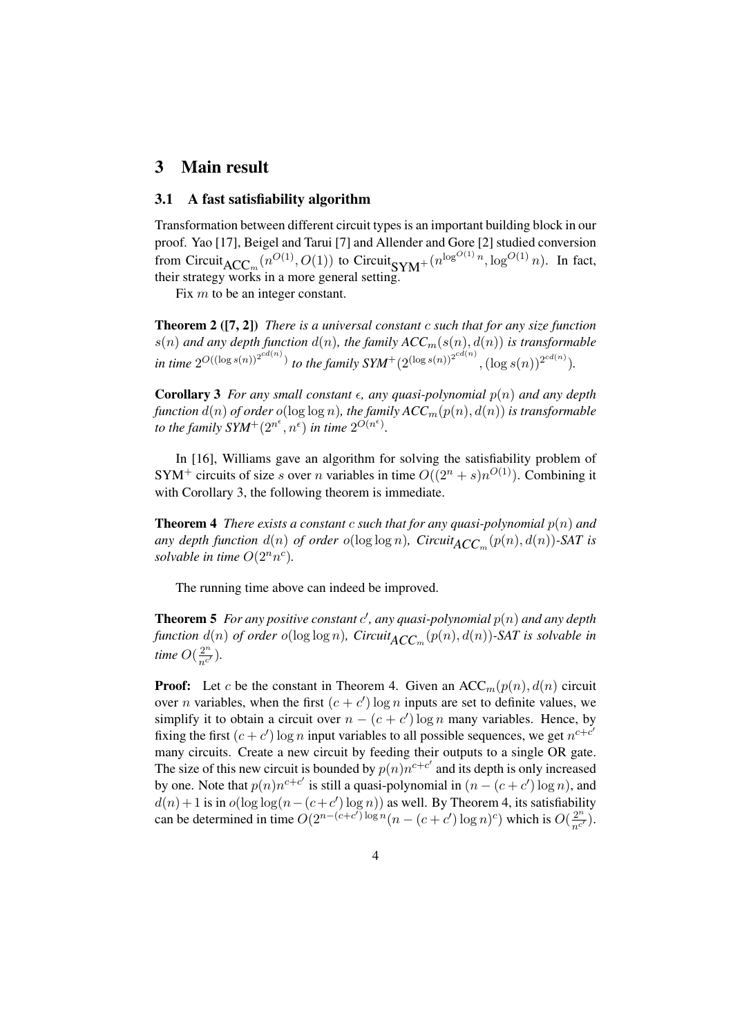## 3 Main result

#### 3.1 A fast satisfiability algorithm

Transformation between different circuit types is an important building block in our proof. Yao [17], Beigel and Tarui [7] and Allender and Gore [2] studied conversion from Circuit<sub>ACC</sub><sub>m</sub>  $(n^{O(1)}, O(1))$  to Circuit<sub>SYM</sub>+  $(n^{\log^{O(1)}n}, \log^{O(1)}n)$ . In fact, their strategy works in a more general setting.

Fix  $m$  to be an integer constant.

Theorem 2 ([7, 2]) *There is a universal constant* c *such that for any size function*  $s(n)$  and any depth function  $d(n)$ , the family  $ACC_m(s(n), d(n))$  is transformable *in time*  $2^{O((\log s(n))^{2^{cd(n)}})}$  *to the family SYM*<sup>+</sup> $(2^{(\log s(n))^{2^{cd(n)}}}, (\log s(n))^{2^{cd(n)}})$ *.* 

**Corollary 3** *For any small constant*  $\epsilon$ , *any quasi-polynomial*  $p(n)$  *and any depth function*  $d(n)$  *of order*  $o(\log \log n)$ *, the family ACC<sub>m</sub>* $(p(n), d(n))$  *is transformable* to the family  $S Y M^+(2^{n^{\epsilon}}, n^{\epsilon})$  in time  $2^{O(n^{\epsilon})}$ .

In [16], Williams gave an algorithm for solving the satisfiability problem of SYM<sup>+</sup> circuits of size s over n variables in time  $O((2^n + s)n^{O(1)})$ . Combining it with Corollary 3, the following theorem is immediate.

**Theorem 4** *There exists a constant c such that for any quasi-polynomial*  $p(n)$  *and any depth function*  $d(n)$  *of order o*(log log *n*),  $Circuit_{ACC_m}(p(n), d(n))$ -SAT is *solvable in time*  $O(2^n n^c)$ *.* 

The running time above can indeed be improved.

**Theorem 5** For any positive constant  $c'$ , any quasi-polynomial  $p(n)$  and any depth *function*  $d(n)$  *of order*  $o(\log \log n)$ *, Circuit*<sub>*ACC*<sub>m</sub></sub> $(p(n), d(n))$ -SAT is solvable in *time*  $O(\frac{2^n}{nc^2})$  $\frac{2^{n}}{n^{c'}}$ ).

**Proof:** Let c be the constant in Theorem 4. Given an ACC<sub>m</sub>( $p(n)$ ,  $d(n)$ ) circuit over *n* variables, when the first  $(c + c') \log n$  inputs are set to definite values, we simplify it to obtain a circuit over  $n - (c + c') \log n$  many variables. Hence, by fixing the first  $(c + c') \log n$  input variables to all possible sequences, we get  $n^{c+c'}$ many circuits. Create a new circuit by feeding their outputs to a single OR gate. The size of this new circuit is bounded by  $p(n)n^{c+c'}$  and its depth is only increased by one. Note that  $p(n)n^{c+c'}$  is still a quasi-polynomial in  $(n-(c+c')\log n)$ , and  $d(n) + 1$  is in  $o(\log \log(n - (c + c') \log n))$  as well. By Theorem 4, its satisfiability can be determined in time  $O(2^{n-(c+c')\log n}(n-(c+c')\log n)^c)$  which is  $O(\frac{2^n}{n^c})$  $\frac{2^n}{n^{c'}}$ ).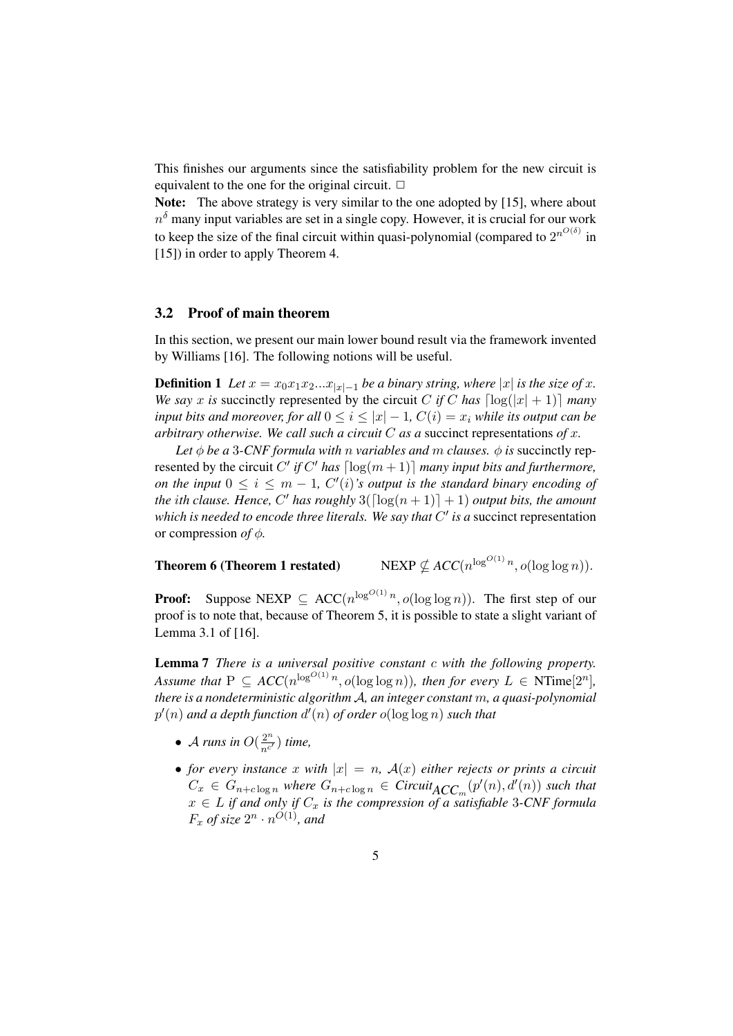This finishes our arguments since the satisfiability problem for the new circuit is equivalent to the one for the original circuit.  $\Box$ 

Note: The above strategy is very similar to the one adopted by [15], where about  $n^{\delta}$  many input variables are set in a single copy. However, it is crucial for our work to keep the size of the final circuit within quasi-polynomial (compared to  $2^{n^{O(\delta)}}$  in [15]) in order to apply Theorem 4.

#### 3.2 Proof of main theorem

In this section, we present our main lower bound result via the framework invented by Williams [16]. The following notions will be useful.

**Definition 1** *Let*  $x = x_0x_1x_2...x_{|x|-1}$  *be a binary string, where*  $|x|$  *is the size of* x. *We say* x *is* succinctly represented by the circuit C *if* C has  $\lceil \log(|x| + 1) \rceil$  *many input bits and moreover, for all*  $0 \le i \le |x| - 1$ ,  $C(i) = x_i$  *while its output can be arbitrary otherwise. We call such a circuit* C *as a* succinct representations *of* x*.*

*Let*  $\phi$  *be a* 3-*CNF formula with n variables and m clauses.*  $\phi$  *is* succinctly represented by the circuit C' if C' has  $\lceil \log(m+1) \rceil$  *many input bits and furthermore, on the input*  $0 \le i \le m - 1$ ,  $C'(i)$ *'s output is the standard binary encoding of the ith clause. Hence,* C' has roughly  $3(\lceil \log(n+1) \rceil + 1)$  *output bits, the amount* which is needed to encode three literals. We say that  $C'$  is a succinct representation or compression *of* φ*.*

#### Theorem 6 (Theorem 1 restated)

 $\log^{O(1)} n$ ,  $o(\log \log n)$ ).

**Proof:** Suppose NEXP  $\subseteq$  ACC( $n^{\log^{O(1)}n}$ ,  $o(\log \log n)$ ). The first step of our proof is to note that, because of Theorem 5, it is possible to state a slight variant of Lemma 3.1 of [16].

Lemma 7 *There is a universal positive constant* c *with the following property. Assume that*  $P \subseteq ACC(n^{\log^{O(1)}n}, o(\log \log n))$ *, then for every*  $L \in NTime[2^n]$ *, there is a nondeterministic algorithm* A*, an integer constant* m*, a quasi-polynomial*  $p'(n)$  and a depth function  $d'(n)$  of order  $o(\log \log n)$  such that

- A runs in  $O(\frac{2^n}{n^c})$  $rac{2^n}{n^{c'}}$ ) time,
- *for every instance* x *with*  $|x| = n$ ,  $A(x)$  *either rejects or prints a circuit*  $C_x \in G_{n+c \log n}$  where  $G_{n+c \log n} \in Circuit_{ACC_m}(p'(n), d'(n))$  such that  $x \in L$  *if and only if*  $C_x$  *is the compression of a satisfiable 3-CNF formula*  $F_x$  of size  $2^n \cdot n^{O(1)}$ , and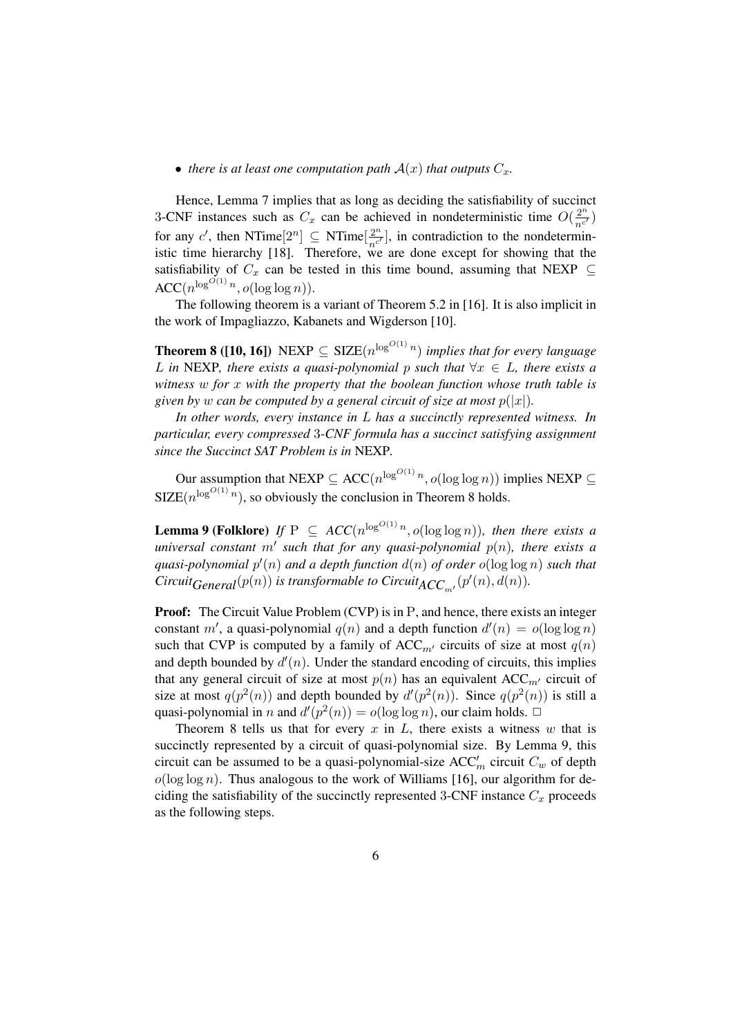#### • *there is at least one computation path*  $A(x)$  *that outputs*  $C_x$ *.*

Hence, Lemma 7 implies that as long as deciding the satisfiability of succinct 3-CNF instances such as  $C_x$  can be achieved in nondeterministic time  $O(\frac{2^n}{n^c})$  $rac{2^n}{n^{c'}}$ for any c', then NTime $[2^n] \subseteq$  NTime $[\frac{2^n}{n!}]$  $\frac{2^n}{n^{c'}}$ , in contradiction to the nondeterministic time hierarchy [18]. Therefore, we are done except for showing that the satisfiability of  $C_x$  can be tested in this time bound, assuming that NEXP  $\subseteq$  $\mathrm{ACC}(n^{\log^{O(1)} n}, o(\log \log n)).$ 

The following theorem is a variant of Theorem 5.2 in [16]. It is also implicit in the work of Impagliazzo, Kabanets and Wigderson [10].

**Theorem 8** ([10, 16]) NEXP  $\subseteq$  SIZE $(n^{\log^{O(1)}n})$  *implies that for every language* L in NEXP, there exists a quasi-polynomial p such that  $\forall x \in L$ , there exists a *witness* w *for* x *with the property that the boolean function whose truth table is given by* w *can be computed by a general circuit of size at most*  $p(|x|)$ *.* 

*In other words, every instance in* L *has a succinctly represented witness. In particular, every compressed* 3*-CNF formula has a succinct satisfying assignment since the Succinct SAT Problem is in* NEXP*.*

Our assumption that NEXP  $\subseteq$  ACC( $n^{\log^{O(1)}n}$ ,  $o(\log \log n)$ ) implies NEXP  $\subseteq$  $SIZE(n^{\log^{O(1)} n})$ , so obviously the conclusion in Theorem 8 holds.

**Lemma 9 (Folklore)** If  $P \subseteq ACC(n^{\log^{O(1)} n}, o(\log \log n))$ , then there exists a  $universal$  constant  $m'$  such that for any quasi-polynomial  $p(n)$ , there exists a  $quasi-polynomial p'(n)$  and a depth function  $d(n)$  of order  $o(\log \log n)$  such that  $Circuit_{General}(p(n))$  is transformable to  $Circuit_{ACC_{m'}}(p'(n), d(n))$ .

**Proof:** The Circuit Value Problem (CVP) is in P, and hence, there exists an integer constant m', a quasi-polynomial  $q(n)$  and a depth function  $d'(n) = o(\log \log n)$ such that CVP is computed by a family of ACC<sub>m'</sub> circuits of size at most  $q(n)$ and depth bounded by  $d'(n)$ . Under the standard encoding of circuits, this implies that any general circuit of size at most  $p(n)$  has an equivalent ACC<sub>m'</sub> circuit of size at most  $q(p^2(n))$  and depth bounded by  $d'(p^2(n))$ . Since  $q(p^2(n))$  is still a quasi-polynomial in *n* and  $d'(p^2(n)) = o(\log \log n)$ , our claim holds.  $\Box$ 

Theorem 8 tells us that for every  $x$  in  $L$ , there exists a witness  $w$  that is succinctly represented by a circuit of quasi-polynomial size. By Lemma 9, this circuit can be assumed to be a quasi-polynomial-size  $ACC'_m$  circuit  $C_w$  of depth  $o(\log \log n)$ . Thus analogous to the work of Williams [16], our algorithm for deciding the satisfiability of the succinctly represented 3-CNF instance  $C_x$  proceeds as the following steps.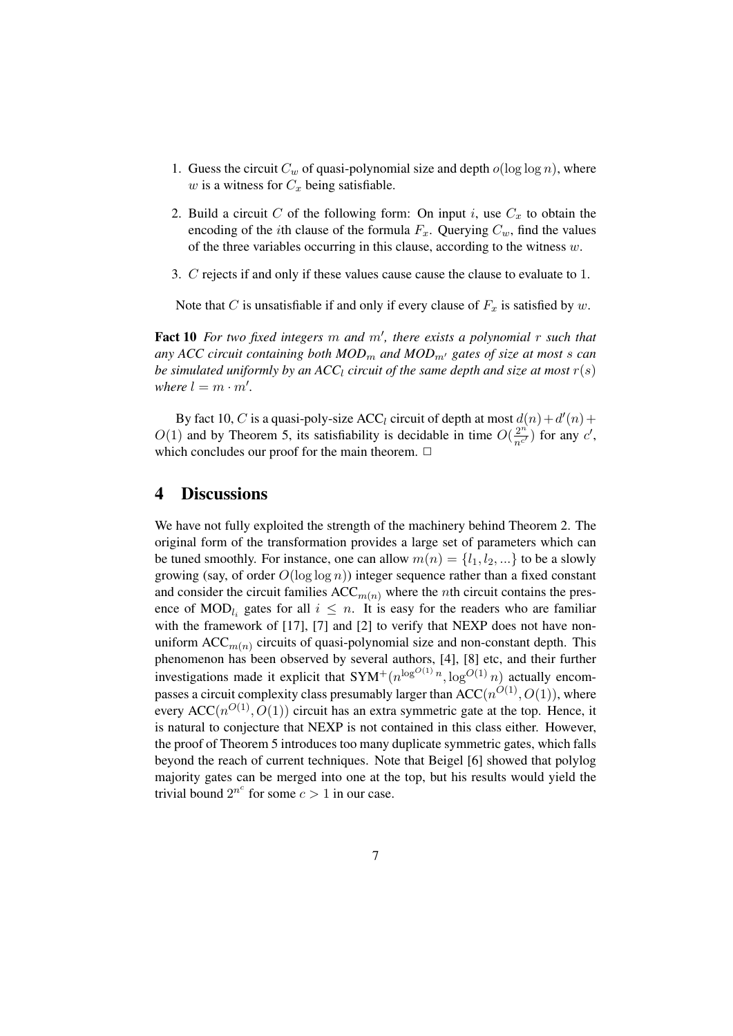- 1. Guess the circuit  $C_w$  of quasi-polynomial size and depth  $o(\log \log n)$ , where w is a witness for  $C_x$  being satisfiable.
- 2. Build a circuit C of the following form: On input i, use  $C_x$  to obtain the encoding of the *i*th clause of the formula  $F_x$ . Querying  $C_w$ , find the values of the three variables occurring in this clause, according to the witness  $w$ .
- 3. C rejects if and only if these values cause cause the clause to evaluate to 1.

Note that C is unsatisfiable if and only if every clause of  $F_x$  is satisfied by w.

Fact 10 For two fixed integers m and m', there exists a polynomial r such that any ACC circuit containing both  $MOD_m$  and  $MOD_{m'}$  gates of size at most s can *be simulated uniformly by an ACC<sub>l</sub> circuit of the same depth and size at most*  $r(s)$ *where*  $l = m \cdot m'$ .

By fact 10, C is a quasi-poly-size ACC<sub>l</sub> circuit of depth at most  $d(n) + d'(n) +$  $O(1)$  and by Theorem 5, its satisfiability is decidable in time  $O(\frac{2^n}{n^2})$  $\frac{2^n}{n^{c'}}$ ) for any  $c'$ , which concludes our proof for the main theorem.  $\Box$ 

# 4 Discussions

We have not fully exploited the strength of the machinery behind Theorem 2. The original form of the transformation provides a large set of parameters which can be tuned smoothly. For instance, one can allow  $m(n) = \{l_1, l_2, ...\}$  to be a slowly growing (say, of order  $O(\log \log n)$ ) integer sequence rather than a fixed constant and consider the circuit families  $ACC_{m(n)}$  where the *n*th circuit contains the presence of MOD<sub>l<sub>i</sub></sub> gates for all  $i \leq n$ . It is easy for the readers who are familiar with the framework of [17], [7] and [2] to verify that NEXP does not have nonuniform  $ACC_{m(n)}$  circuits of quasi-polynomial size and non-constant depth. This phenomenon has been observed by several authors, [4], [8] etc, and their further investigations made it explicit that  $SYM^+(n^{\log^{O(1)}n}, \log^{O(1)}n)$  actually encompasses a circuit complexity class presumably larger than  $ACC(n^{O(1)}, O(1))$ , where every  $ACC(n^{O(1)}, O(1))$  circuit has an extra symmetric gate at the top. Hence, it is natural to conjecture that NEXP is not contained in this class either. However, the proof of Theorem 5 introduces too many duplicate symmetric gates, which falls beyond the reach of current techniques. Note that Beigel [6] showed that polylog majority gates can be merged into one at the top, but his results would yield the trivial bound  $2^{n^c}$  for some  $c > 1$  in our case.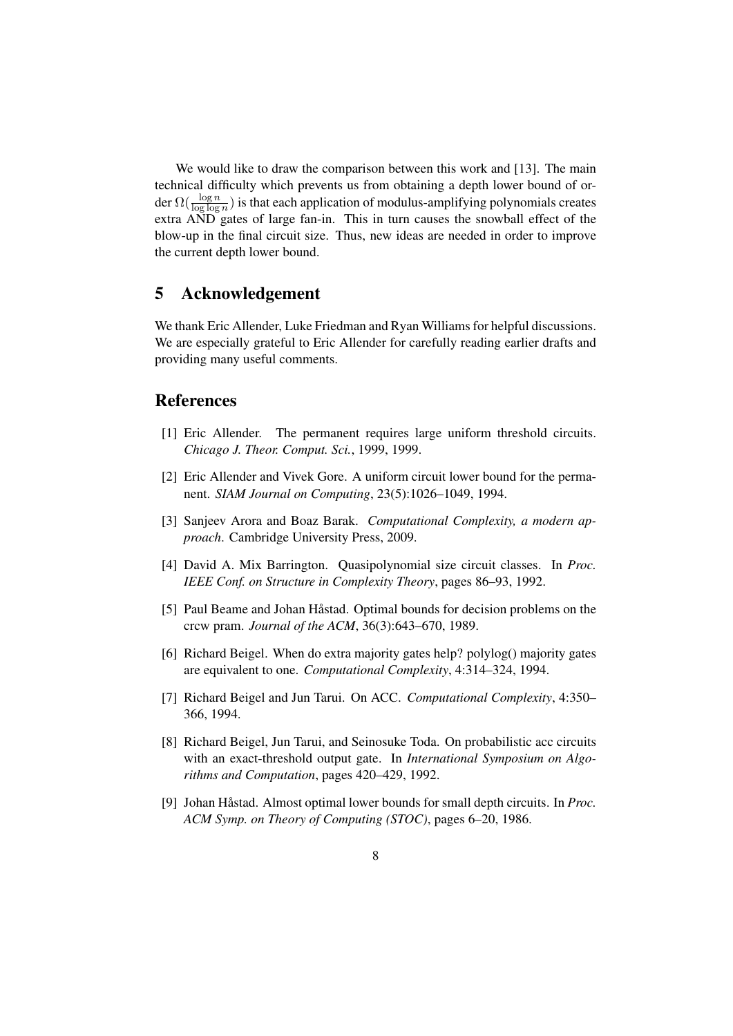We would like to draw the comparison between this work and [13]. The main technical difficulty which prevents us from obtaining a depth lower bound of order  $\Omega(\frac{\log n}{\log \log n})$  is that each application of modulus-amplifying polynomials creates extra AND gates of large fan-in. This in turn causes the snowball effect of the blow-up in the final circuit size. Thus, new ideas are needed in order to improve the current depth lower bound.

# 5 Acknowledgement

We thank Eric Allender, Luke Friedman and Ryan Williams for helpful discussions. We are especially grateful to Eric Allender for carefully reading earlier drafts and providing many useful comments.

# References

- [1] Eric Allender. The permanent requires large uniform threshold circuits. *Chicago J. Theor. Comput. Sci.*, 1999, 1999.
- [2] Eric Allender and Vivek Gore. A uniform circuit lower bound for the permanent. *SIAM Journal on Computing*, 23(5):1026–1049, 1994.
- [3] Sanjeev Arora and Boaz Barak. *Computational Complexity, a modern approach*. Cambridge University Press, 2009.
- [4] David A. Mix Barrington. Quasipolynomial size circuit classes. In *Proc. IEEE Conf. on Structure in Complexity Theory*, pages 86–93, 1992.
- [5] Paul Beame and Johan Håstad. Optimal bounds for decision problems on the crcw pram. *Journal of the ACM*, 36(3):643–670, 1989.
- [6] Richard Beigel. When do extra majority gates help? polylog() majority gates are equivalent to one. *Computational Complexity*, 4:314–324, 1994.
- [7] Richard Beigel and Jun Tarui. On ACC. *Computational Complexity*, 4:350– 366, 1994.
- [8] Richard Beigel, Jun Tarui, and Seinosuke Toda. On probabilistic acc circuits with an exact-threshold output gate. In *International Symposium on Algorithms and Computation*, pages 420–429, 1992.
- [9] Johan Håstad. Almost optimal lower bounds for small depth circuits. In *Proc. ACM Symp. on Theory of Computing (STOC)*, pages 6–20, 1986.